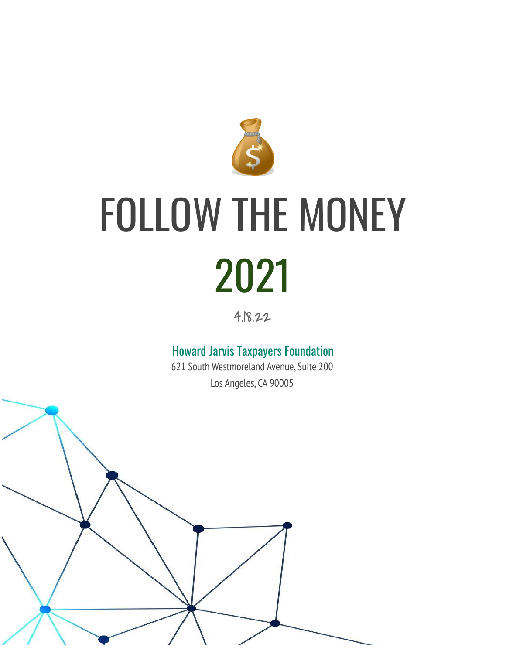

# FOLLOW THE MONEY 2021

4.18.22

### Howard Jarvis Taxpayers Foundation

621 South Westmoreland Avenue, Suite 200 Los Angeles, CA 90005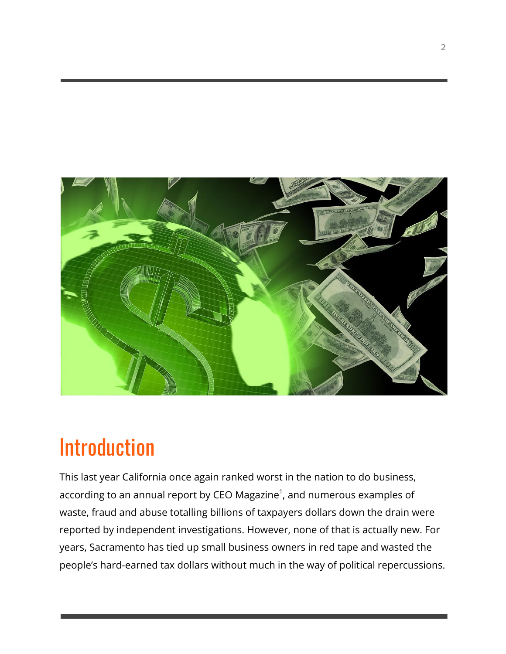

# Introduction

This last year California once again ranked worst in the nation to do business, according to an annual report by CEO Magazine $^{\text{\tiny{\textsf{1}}}}$ , and numerous examples of waste, fraud and abuse totalling billions of taxpayers dollars down the drain were reported by independent investigations. However, none of that is actually new. For years, Sacramento has tied up small business owners in red tape and wasted the people's hard-earned tax dollars without much in the way of political repercussions.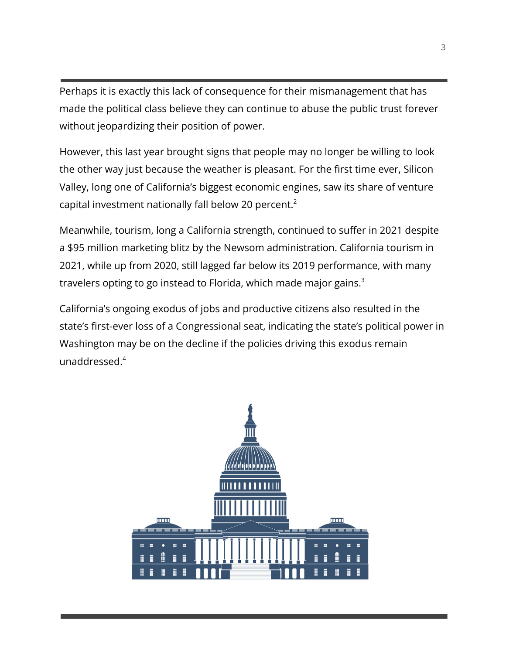Perhaps it is exactly this lack of consequence for their mismanagement that has made the political class believe they can continue to abuse the public trust forever without jeopardizing their position of power.

However, this last year brought signs that people may no longer be willing to look the other way just because the weather is pleasant. For the first time ever, Silicon Valley, long one of California's biggest economic engines, saw its share of venture capital investment nationally fall below 20 percent.<sup>2</sup>

Meanwhile, tourism, long a California strength, continued to suffer in 2021 despite a \$95 million marketing blitz by the Newsom administration. California tourism in 2021, while up from 2020, still lagged far below its 2019 performance, with many travelers opting to go instead to Florida, which made major gains. $3$ 

California's ongoing exodus of jobs and productive citizens also resulted in the state's first-ever loss of a Congressional seat, indicating the state's political power in Washington may be on the decline if the policies driving this exodus remain unaddressed.<sup>4</sup>

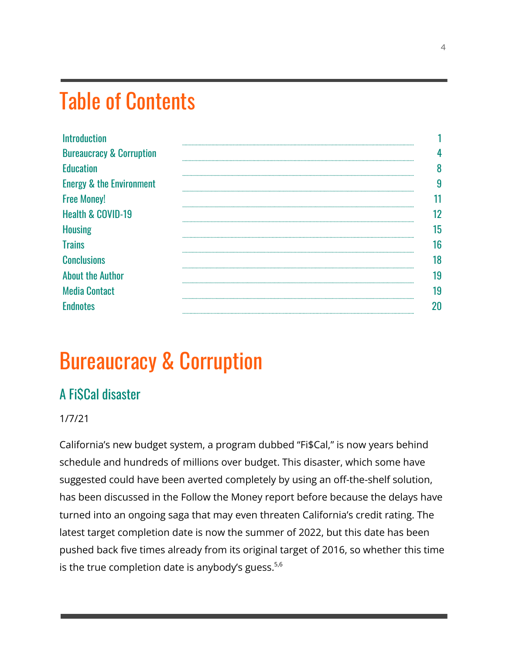# Table of Contents

| <b>Introduction</b>                 |    |
|-------------------------------------|----|
| <b>Bureaucracy &amp; Corruption</b> |    |
| <b>Education</b>                    | n  |
| <b>Energy &amp; the Environment</b> | 9  |
| <b>Free Money!</b>                  |    |
| <b>Health &amp; COVID-19</b>        | 12 |
| <b>Housing</b>                      | 15 |
| <b>Trains</b>                       | 16 |
| <b>Conclusions</b>                  | 18 |
| <b>About the Author</b>             | 19 |
| <b>Media Contact</b>                | 19 |
| <b>F</b> ndnotes                    |    |

# Bureaucracy & Corruption

### A Fi\$Cal disaster

#### 1/7/21

California's new budget system, a program dubbed "Fi\$Cal," is now years behind schedule and hundreds of millions over budget. This disaster, which some have suggested could have been averted completely by using an off-the-shelf solution, has been discussed in the Follow the Money report before because the delays have turned into an ongoing saga that may even threaten California's credit rating. The latest target completion date is now the summer of 2022, but this date has been pushed back five times already from its original target of 2016, so whether this time is the true completion date is anybody's guess. $5,6$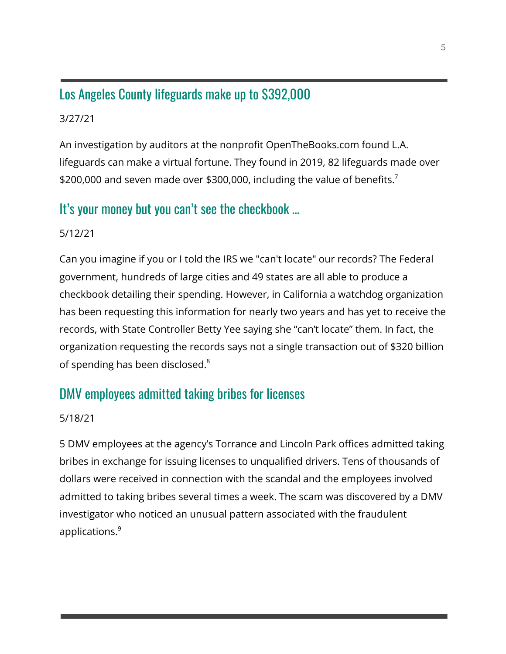### Los Angeles County lifeguards make up to \$392,000

#### 3/27/21

An investigation by auditors at the nonprofit OpenTheBooks.com found L.A. lifeguards can make a virtual fortune. They found in 2019, 82 lifeguards made over \$200,000 and seven made over \$300,000, including the value of benefits.<sup>7</sup>

### It's your money but you can't see the checkbook …

### 5/12/21

Can you imagine if you or I told the IRS we "can't locate" our records? The Federal government, hundreds of large cities and 49 states are all able to produce a checkbook detailing their spending. However, in California a watchdog organization has been requesting this information for nearly two years and has yet to receive the records, with State Controller Betty Yee saying she "can't locate" them. In fact, the organization requesting the records says not a single transaction out of \$320 billion of spending has been disclosed.<sup>8</sup>

### DMV employees admitted taking bribes for licenses

#### 5/18/21

5 DMV employees at the agency's Torrance and Lincoln Park offices admitted taking bribes in exchange for issuing licenses to unqualified drivers. Tens of thousands of dollars were received in connection with the scandal and the employees involved admitted to taking bribes several times a week. The scam was discovered by a DMV investigator who noticed an unusual pattern associated with the fraudulent applications.<sup>9</sup>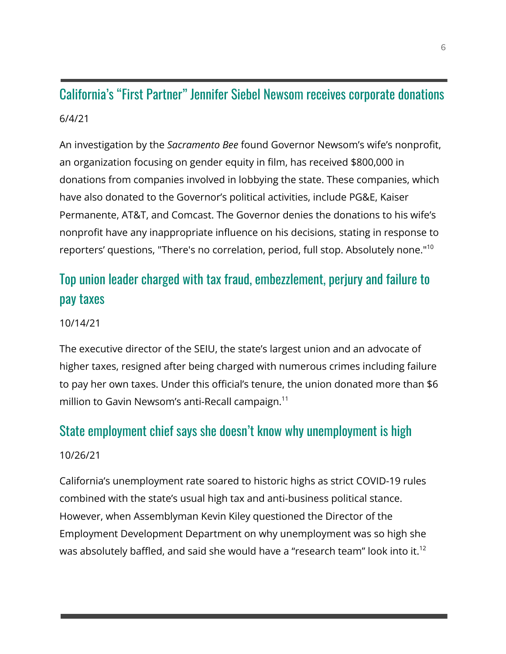# California's "First Partner" Jennifer Siebel Newsom receives corporate donations 6/4/21

An investigation by the *Sacramento Bee* found Governor Newsom's wife's nonprofit, an organization focusing on gender equity in film, has received \$800,000 in donations from companies involved in lobbying the state. These companies, which have also donated to the Governor's political activities, include PG&E, Kaiser Permanente, AT&T, and Comcast. The Governor denies the donations to his wife's nonprofit have any inappropriate influence on his decisions, stating in response to reporters' questions, "There's no correlation, period, full stop. Absolutely none."<sup>10</sup>

# Top union leader charged with tax fraud, embezzlement, perjury and failure to pay taxes

#### 10/14/21

The executive director of the SEIU, the state's largest union and an advocate of higher taxes, resigned after being charged with numerous crimes including failure to pay her own taxes. Under this official's tenure, the union donated more than \$6 million to Gavin Newsom's anti-Recall campaign.<sup>11</sup>

### State employment chief says she doesn't know why unemployment is high

#### 10/26/21

California's unemployment rate soared to historic highs as strict COVID-19 rules combined with the state's usual high tax and anti-business political stance. However, when Assemblyman Kevin Kiley questioned the Director of the Employment Development Department on why unemployment was so high she was absolutely baffled, and said she would have a "research team" look into it.<sup>12</sup>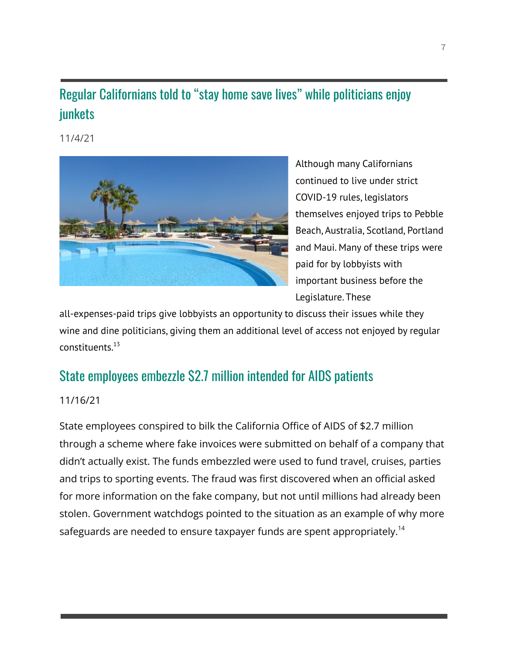# Regular Californians told to "stay home save lives" while politicians enjoy junkets

11/4/21



Although many Californians continued to live under strict COVID-19 rules, legislators themselves enjoyed trips to Pebble Beach, Australia, Scotland, Portland and Maui. Many of these trips were paid for by lobbyists with important business before the Legislature. These

all-expenses-paid trips give lobbyists an opportunity to discuss their issues while they wine and dine politicians, giving them an additional level of access not enjoyed by regular constituents. 13

### State employees embezzle \$2.7 million intended for AIDS patients

#### 11/16/21

State employees conspired to bilk the California Office of AIDS of \$2.7 million through a scheme where fake invoices were submitted on behalf of a company that didn't actually exist. The funds embezzled were used to fund travel, cruises, parties and trips to sporting events. The fraud was first discovered when an official asked for more information on the fake company, but not until millions had already been stolen. Government watchdogs pointed to the situation as an example of why more safeguards are needed to ensure taxpayer funds are spent appropriately.<sup>14</sup>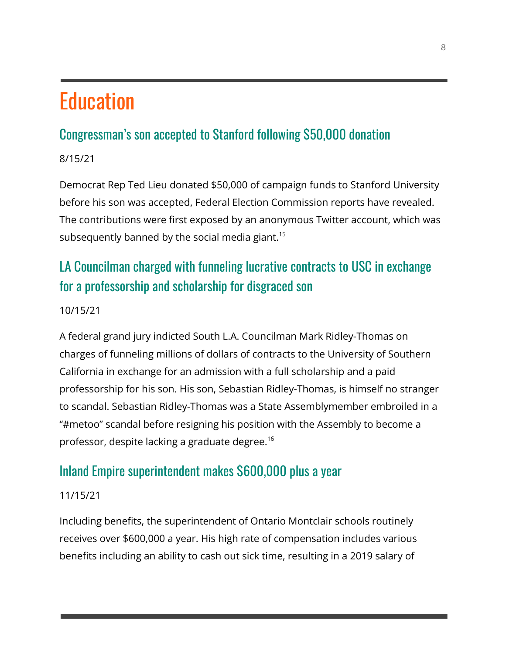# **Education**

# Congressman's son accepted to Stanford following \$50,000 donation

8/15/21

Democrat Rep Ted Lieu donated \$50,000 of campaign funds to Stanford University before his son was accepted, Federal Election Commission reports have revealed. The contributions were first exposed by an anonymous Twitter account, which was subsequently banned by the social media giant.<sup>15</sup>

# LA Councilman charged with funneling lucrative contracts to USC in exchange for a professorship and scholarship for disgraced son

### 10/15/21

A federal grand jury indicted South L.A. Councilman Mark Ridley-Thomas on charges of funneling millions of dollars of contracts to the University of Southern California in exchange for an admission with a full scholarship and a paid professorship for his son. His son, Sebastian Ridley-Thomas, is himself no stranger to scandal. Sebastian Ridley-Thomas was a State Assemblymember embroiled in a "#metoo" scandal before resigning his position with the Assembly to become a professor, despite lacking a graduate degree.<sup>16</sup>

### Inland Empire superintendent makes \$600,000 plus a year

### 11/15/21

Including benefits, the superintendent of Ontario Montclair schools routinely receives over \$600,000 a year. His high rate of compensation includes various benefits including an ability to cash out sick time, resulting in a 2019 salary of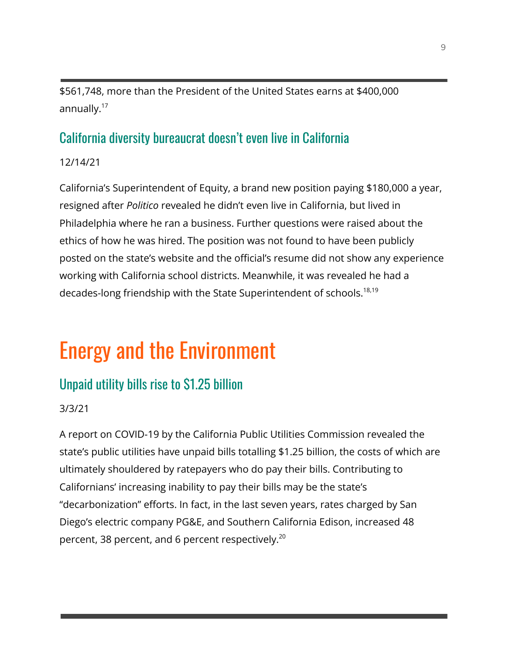\$561,748, more than the President of the United States earns at \$400,000 annually.<sup>17</sup>

### California diversity bureaucrat doesn't even live in California

12/14/21

California's Superintendent of Equity, a brand new position paying \$180,000 a year, resigned after *Politico* revealed he didn't even live in California, but lived in Philadelphia where he ran a business. Further questions were raised about the ethics of how he was hired. The position was not found to have been publicly posted on the state's website and the official's resume did not show any experience working with California school districts. Meanwhile, it was revealed he had a decades-long friendship with the State Superintendent of schools.<sup>18,19</sup>

# Energy and the Environment

### Unpaid utility bills rise to \$1.25 billion

### 3/3/21

A report on COVID-19 by the California Public Utilities Commission revealed the state's public utilities have unpaid bills totalling \$1.25 billion, the costs of which are ultimately shouldered by ratepayers who do pay their bills. Contributing to Californians' increasing inability to pay their bills may be the state's "decarbonization" efforts. In fact, in the last seven years, rates charged by San Diego's electric company PG&E, and Southern California Edison, increased 48 percent, 38 percent, and 6 percent respectively.<sup>20</sup>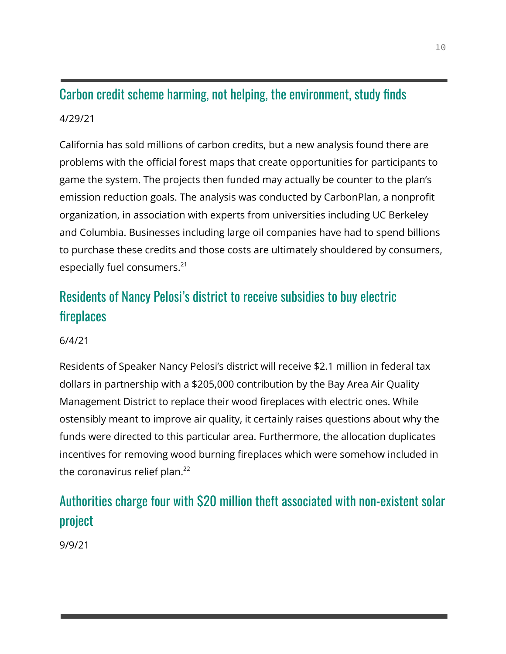# Carbon credit scheme harming, not helping, the environment, study finds

#### 4/29/21

California has sold millions of carbon credits, but a new analysis found there are problems with the official forest maps that create opportunities for participants to game the system. The projects then funded may actually be counter to the plan's emission reduction goals. The analysis was conducted by CarbonPlan, a nonprofit organization, in association with experts from universities including UC Berkeley and Columbia. Businesses including large oil companies have had to spend billions to purchase these credits and those costs are ultimately shouldered by consumers, especially fuel consumers.<sup>21</sup>

# Residents of Nancy Pelosi's district to receive subsidies to buy electric fireplaces

### 6/4/21

Residents of Speaker Nancy Pelosi's district will receive \$2.1 million in federal tax dollars in partnership with a \$205,000 contribution by the Bay Area Air Quality Management District to replace their wood fireplaces with electric ones. While ostensibly meant to improve air quality, it certainly raises questions about why the funds were directed to this particular area. Furthermore, the allocation duplicates incentives for removing wood burning fireplaces which were somehow included in the coronavirus relief plan. $^{22}$ 

# Authorities charge four with \$20 million theft associated with non-existent solar project

9/9/21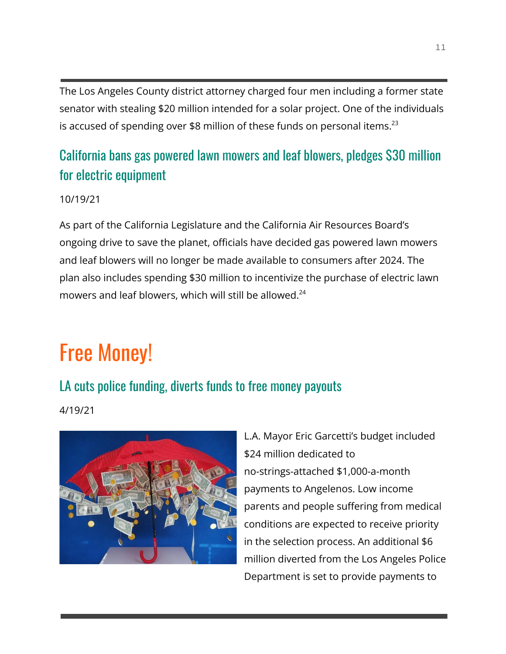The Los Angeles County district attorney charged four men including a former state senator with stealing \$20 million intended for a solar project. One of the individuals is accused of spending over \$8 million of these funds on personal items.<sup>23</sup>

# California bans gas powered lawn mowers and leaf blowers, pledges \$30 million for electric equipment

#### 10/19/21

As part of the California Legislature and the California Air Resources Board's ongoing drive to save the planet, officials have decided gas powered lawn mowers and leaf blowers will no longer be made available to consumers after 2024. The plan also includes spending \$30 million to incentivize the purchase of electric lawn mowers and leaf blowers, which will still be allowed.<sup>24</sup>

# Free Money!

### LA cuts police funding, diverts funds to free money payouts

4/19/21



L.A. Mayor Eric Garcetti's budget included \$24 million dedicated to no-strings-attached \$1,000-a-month payments to Angelenos. Low income parents and people suffering from medical conditions are expected to receive priority in the selection process. An additional \$6 million diverted from the Los Angeles Police Department is set to provide payments to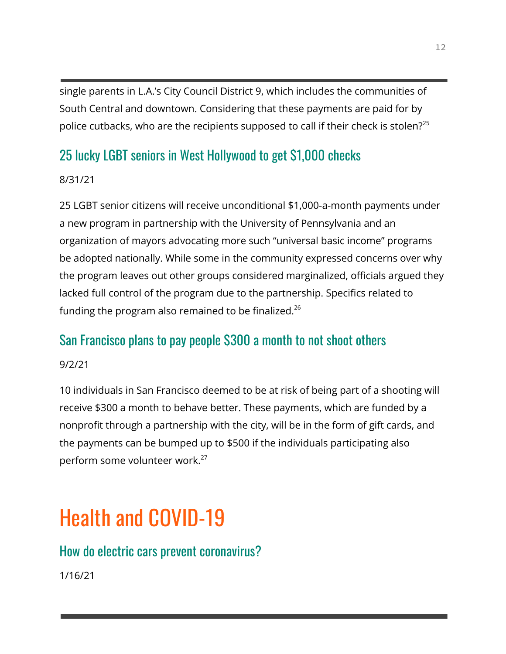single parents in L.A.'s City Council District 9, which includes the communities of South Central and downtown. Considering that these payments are paid for by police cutbacks, who are the recipients supposed to call if their check is stolen?<sup>25</sup>

### 25 lucky LGBT seniors in West Hollywood to get \$1,000 checks

### 8/31/21

25 LGBT senior citizens will receive unconditional \$1,000-a-month payments under a new program in partnership with the University of Pennsylvania and an organization of mayors advocating more such "universal basic income" programs be adopted nationally. While some in the community expressed concerns over why the program leaves out other groups considered marginalized, officials argued they lacked full control of the program due to the partnership. Specifics related to funding the program also remained to be finalized.<sup>26</sup>

### San Francisco plans to pay people \$300 a month to not shoot others

### 9/2/21

10 individuals in San Francisco deemed to be at risk of being part of a shooting will receive \$300 a month to behave better. These payments, which are funded by a nonprofit through a partnership with the city, will be in the form of gift cards, and the payments can be bumped up to \$500 if the individuals participating also perform some volunteer work.<sup>27</sup>

# Health and COVID-19

### How do electric cars prevent coronavirus?

1/16/21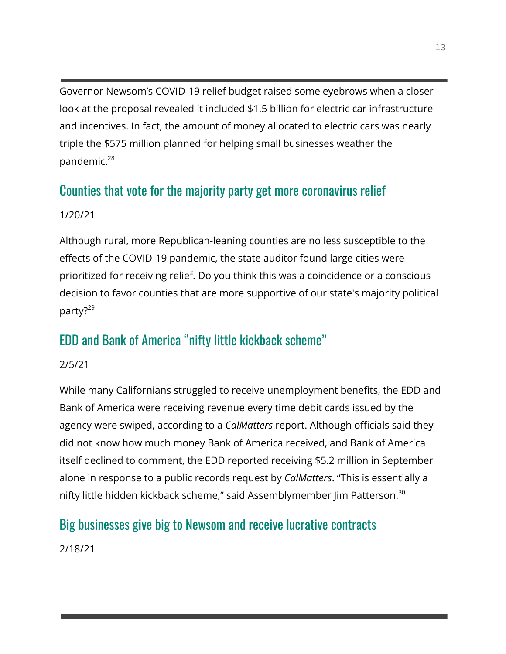Governor Newsom's COVID-19 relief budget raised some eyebrows when a closer look at the proposal revealed it included \$1.5 billion for electric car infrastructure and incentives. In fact, the amount of money allocated to electric cars was nearly triple the \$575 million planned for helping small businesses weather the pandemic. $^{28}$ 

### Counties that vote for the majority party get more coronavirus relief

### 1/20/21

Although rural, more Republican-leaning counties are no less susceptible to the effects of the COVID-19 pandemic, the state auditor found large cities were prioritized for receiving relief. Do you think this was a coincidence or a conscious decision to favor counties that are more supportive of our state's majority political party?<sup>29</sup>

### EDD and Bank of America "nifty little kickback scheme"

### 2/5/21

While many Californians struggled to receive unemployment benefits, the EDD and Bank of America were receiving revenue every time debit cards issued by the agency were swiped, according to a *CalMatters* report. Although officials said they did not know how much money Bank of America received, and Bank of America itself declined to comment, the EDD reported receiving \$5.2 million in September alone in response to a public records request by *CalMatters*. "This is essentially a nifty little hidden kickback scheme," said Assemblymember Jim Patterson.<sup>30</sup>

### Big businesses give big to Newsom and receive lucrative contracts

2/18/21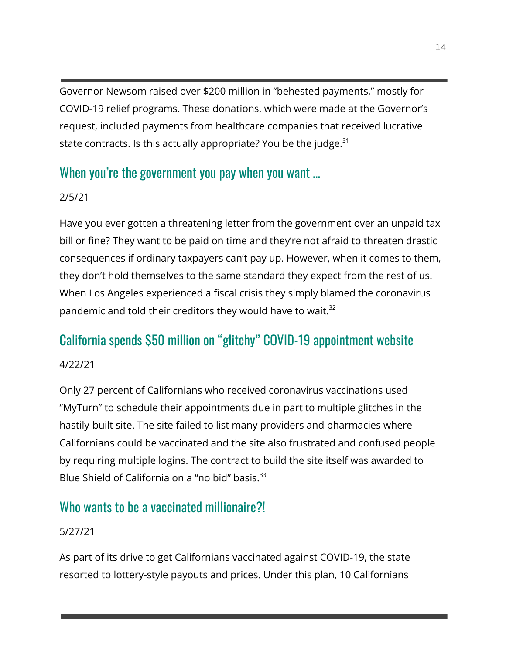Governor Newsom raised over \$200 million in "behested payments," mostly for COVID-19 relief programs. These donations, which were made at the Governor's request, included payments from healthcare companies that received lucrative state contracts. Is this actually appropriate? You be the judge. $31$ 

### When you're the government you pay when you want ...

### 2/5/21

Have you ever gotten a threatening letter from the government over an unpaid tax bill or fine? They want to be paid on time and they're not afraid to threaten drastic consequences if ordinary taxpayers can't pay up. However, when it comes to them, they don't hold themselves to the same standard they expect from the rest of us. When Los Angeles experienced a fiscal crisis they simply blamed the coronavirus pandemic and told their creditors they would have to wait.<sup>32</sup>

### California spends \$50 million on "glitchy" COVID-19 appointment website

### 4/22/21

Only 27 percent of Californians who received coronavirus vaccinations used "MyTurn" to schedule their appointments due in part to multiple glitches in the hastily-built site. The site failed to list many providers and pharmacies where Californians could be vaccinated and the site also frustrated and confused people by requiring multiple logins. The contract to build the site itself was awarded to Blue Shield of California on a "no bid" basis.<sup>33</sup>

### Who wants to be a vaccinated millionaire?!

### 5/27/21

As part of its drive to get Californians vaccinated against COVID-19, the state resorted to lottery-style payouts and prices. Under this plan, 10 Californians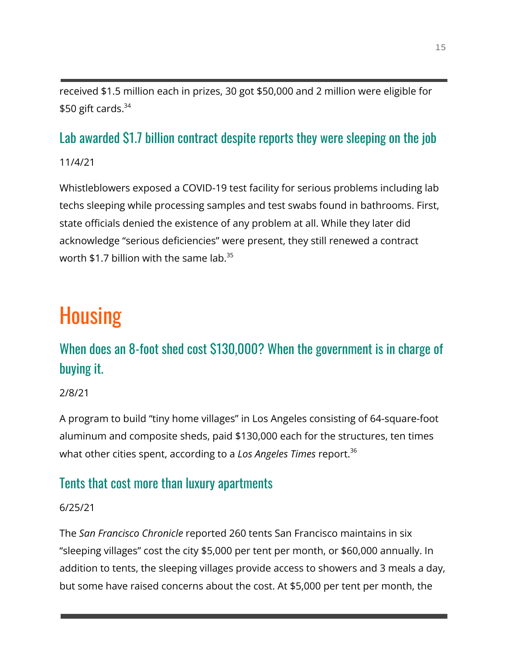received \$1.5 million each in prizes, 30 got \$50,000 and 2 million were eligible for  $$50$  gift cards.<sup>34</sup>

# Lab awarded \$1.7 billion contract despite reports they were sleeping on the job

11/4/21

Whistleblowers exposed a COVID-19 test facility for serious problems including lab techs sleeping while processing samples and test swabs found in bathrooms. First, state officials denied the existence of any problem at all. While they later did acknowledge "serious deficiencies" were present, they still renewed a contract worth \$1.7 billion with the same lab. $35$ 

# **Housing**

# When does an 8-foot shed cost \$130,000? When the government is in charge of buying it.

2/8/21

A program to build "tiny home villages" in Los Angeles consisting of 64-square-foot aluminum and composite sheds, paid \$130,000 each for the structures, ten times what other cities spent, according to a *Los Angeles Times* report.<sup>36</sup>

### Tents that cost more than luxury apartments

### 6/25/21

The *San Francisco Chronicle* reported 260 tents San Francisco maintains in six "sleeping villages" cost the city \$5,000 per tent per month, or \$60,000 annually. In addition to tents, the sleeping villages provide access to showers and 3 meals a day, but some have raised concerns about the cost. At \$5,000 per tent per month, the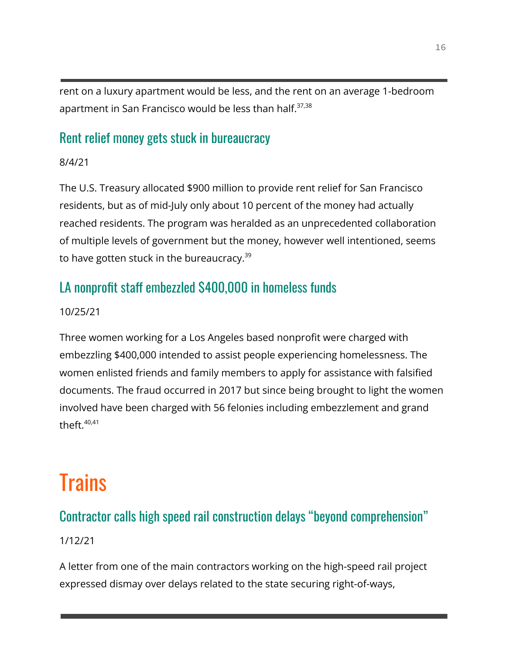rent on a luxury apartment would be less, and the rent on an average 1-bedroom apartment in San Francisco would be less than half.<sup>37,38</sup>

### Rent relief money gets stuck in bureaucracy

8/4/21

The U.S. Treasury allocated \$900 million to provide rent relief for San Francisco residents, but as of mid-July only about 10 percent of the money had actually reached residents. The program was heralded as an unprecedented collaboration of multiple levels of government but the money, however well intentioned, seems to have gotten stuck in the bureaucracy.<sup>39</sup>

# LA nonprofit staff embezzled \$400,000 in homeless funds

### 10/25/21

Three women working for a Los Angeles based nonprofit were charged with embezzling \$400,000 intended to assist people experiencing homelessness. The women enlisted friends and family members to apply for assistance with falsified documents. The fraud occurred in 2017 but since being brought to light the women involved have been charged with 56 felonies including embezzlement and grand theft. $40,41$ 

# **Trains**

### Contractor calls high speed rail construction delays "beyond comprehension"

### 1/12/21

A letter from one of the main contractors working on the high-speed rail project expressed dismay over delays related to the state securing right-of-ways,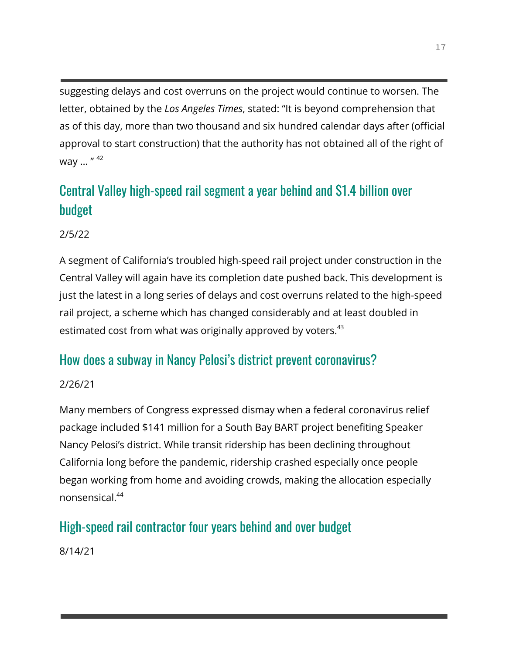suggesting delays and cost overruns on the project would continue to worsen. The letter, obtained by the *Los Angeles Times*, stated: "It is beyond comprehension that as of this day, more than two thousand and six hundred calendar days after (official approval to start construction) that the authority has not obtained all of the right of way ... " 42

# Central Valley high-speed rail segment a year behind and \$1.4 billion over budget

2/5/22

A segment of California's troubled high-speed rail project under construction in the Central Valley will again have its completion date pushed back. This development is just the latest in a long series of delays and cost overruns related to the high-speed rail project, a scheme which has changed considerably and at least doubled in estimated cost from what was originally approved by voters.<sup>43</sup>

### How does a subway in Nancy Pelosi's district prevent coronavirus?

### 2/26/21

Many members of Congress expressed dismay when a federal coronavirus relief package included \$141 million for a South Bay BART project benefiting Speaker Nancy Pelosi's district. While transit ridership has been declining throughout California long before the pandemic, ridership crashed especially once people began working from home and avoiding crowds, making the allocation especially nonsensical<sup>44</sup>

### High-speed rail contractor four years behind and over budget

8/14/21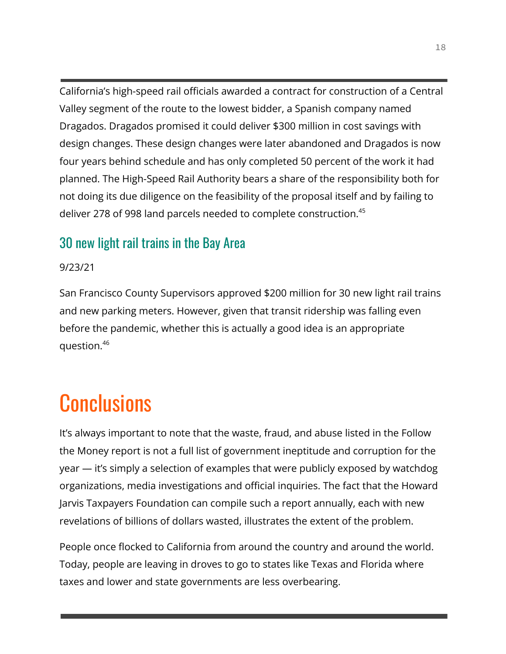California's high-speed rail officials awarded a contract for construction of a Central Valley segment of the route to the lowest bidder, a Spanish company named Dragados. Dragados promised it could deliver \$300 million in cost savings with design changes. These design changes were later abandoned and Dragados is now four years behind schedule and has only completed 50 percent of the work it had planned. The High-Speed Rail Authority bears a share of the responsibility both for not doing its due diligence on the feasibility of the proposal itself and by failing to deliver 278 of 998 land parcels needed to complete construction.<sup>45</sup>

### 30 new light rail trains in the Bay Area

#### 9/23/21

San Francisco County Supervisors approved \$200 million for 30 new light rail trains and new parking meters. However, given that transit ridership was falling even before the pandemic, whether this is actually a good idea is an appropriate question.<sup>46</sup>

# **Conclusions**

It's always important to note that the waste, fraud, and abuse listed in the Follow the Money report is not a full list of government ineptitude and corruption for the year — it's simply a selection of examples that were publicly exposed by watchdog organizations, media investigations and official inquiries. The fact that the Howard Jarvis Taxpayers Foundation can compile such a report annually, each with new revelations of billions of dollars wasted, illustrates the extent of the problem.

People once flocked to California from around the country and around the world. Today, people are leaving in droves to go to states like Texas and Florida where taxes and lower and state governments are less overbearing.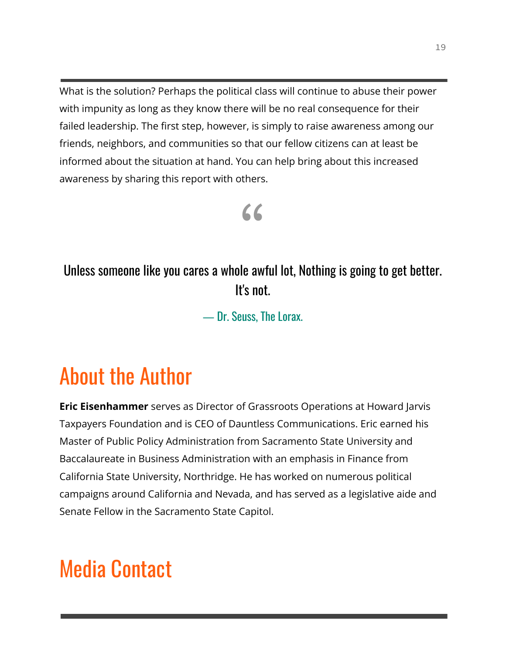What is the solution? Perhaps the political class will continue to abuse their power with impunity as long as they know there will be no real consequence for their failed leadership. The first step, however, is simply to raise awareness among our friends, neighbors, and communities so that our fellow citizens can at least be informed about the situation at hand. You can help bring about this increased awareness by sharing this report with others.

# "

Unless someone like you cares a whole awful lot, Nothing is going to get better. It's not.

― Dr. Seuss, The Lorax.

# About the Author

**Eric Eisenhammer** serves as Director of Grassroots Operations at Howard Jarvis Taxpayers Foundation and is CEO of Dauntless Communications. Eric earned his Master of Public Policy Administration from Sacramento State University and Baccalaureate in Business Administration with an emphasis in Finance from California State University, Northridge. He has worked on numerous political campaigns around California and Nevada, and has served as a legislative aide and Senate Fellow in the Sacramento State Capitol.

# Media Contact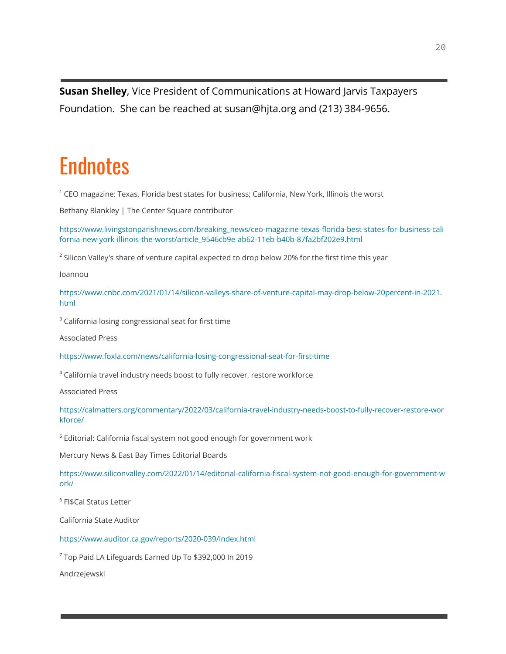**Susan Shelley**, Vice President of Communications at Howard Jarvis Taxpayers Foundation. She can be reached at susan@hjta.org and (213) 384-9656.

# **Endnotes**

<sup>1</sup> CEO magazine: Texas, Florida best states for business; California, New York, Illinois the worst

Bethany Blankley | The Center Square contributor

[https://www.livingstonparishnews.com/breaking\\_news/ceo-magazine-texas-florida-best-states-for-business-cali](https://www.livingstonparishnews.com/breaking_news/ceo-magazine-texas-florida-best-states-for-business-california-new-york-illinois-the-worst/article_9546cb9e-ab62-11eb-b40b-87fa2bf202e9.html) [fornia-new-york-illinois-the-worst/article\\_9546cb9e-ab62-11eb-b40b-87fa2bf202e9.html](https://www.livingstonparishnews.com/breaking_news/ceo-magazine-texas-florida-best-states-for-business-california-new-york-illinois-the-worst/article_9546cb9e-ab62-11eb-b40b-87fa2bf202e9.html)

<sup>2</sup> Silicon Valley's share of venture capital expected to drop below 20% for the first time this year

Ioannou

[https://www.cnbc.com/2021/01/14/silicon-valleys-share-of-venture-capital-may-drop-below-20percent-in-2021.](https://www.cnbc.com/2021/01/14/silicon-valleys-share-of-venture-capital-may-drop-below-20percent-in-2021.html) [html](https://www.cnbc.com/2021/01/14/silicon-valleys-share-of-venture-capital-may-drop-below-20percent-in-2021.html)

<sup>3</sup> California losing congressional seat for first time

Associated Press

<https://www.foxla.com/news/california-losing-congressional-seat-for-first-time>

<sup>4</sup> California travel industry needs boost to fully recover, restore workforce

Associated Press

[https://calmatters.org/commentary/2022/03/california-travel-industry-needs-boost-to-fully-recover-restore-wor](https://calmatters.org/commentary/2022/03/california-travel-industry-needs-boost-to-fully-recover-restore-workforce/) [kforce/](https://calmatters.org/commentary/2022/03/california-travel-industry-needs-boost-to-fully-recover-restore-workforce/)

<sup>5</sup> Editorial: California fiscal system not good enough for government work

Mercury News & East Bay Times Editorial Boards

[https://www.siliconvalley.com/2022/01/14/editorial-california-fiscal-system-not-good-enough-for-government-w](https://www.siliconvalley.com/2022/01/14/editorial-california-fiscal-system-not-good-enough-for-government-work/) [ork/](https://www.siliconvalley.com/2022/01/14/editorial-california-fiscal-system-not-good-enough-for-government-work/)

<sup>6</sup> FI\$Cal Status Letter

California State Auditor

<https://www.auditor.ca.gov/reports/2020-039/index.html>

<sup>7</sup> Top Paid LA Lifeguards Earned Up To \$392,000 In 2019

Andrzejewski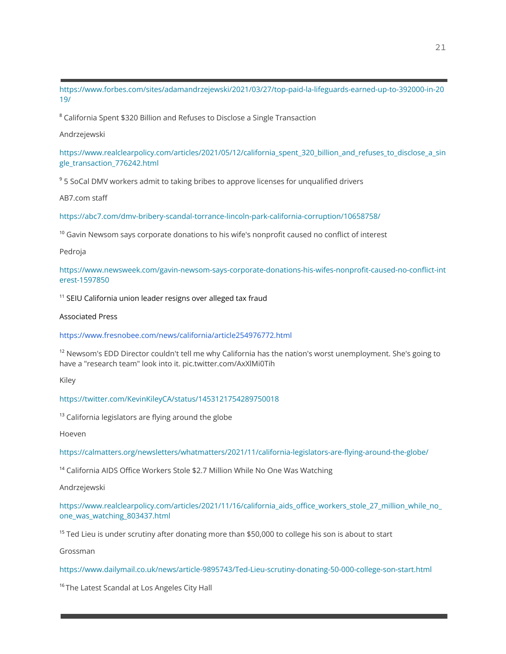[https://www.forbes.com/sites/adamandrzejewski/2021/03/27/top-paid-la-lifeguards-earned-up-to-392000-in-20](https://www.forbes.com/sites/adamandrzejewski/2021/03/27/top-paid-la-lifeguards-earned-up-to-392000-in-2019/) [19/](https://www.forbes.com/sites/adamandrzejewski/2021/03/27/top-paid-la-lifeguards-earned-up-to-392000-in-2019/)

<sup>8</sup> California Spent \$320 Billion and Refuses to Disclose a Single Transaction

Andrzejewski

[https://www.realclearpolicy.com/articles/2021/05/12/california\\_spent\\_320\\_billion\\_and\\_refuses\\_to\\_disclose\\_a\\_sin](https://www.realclearpolicy.com/articles/2021/05/12/california_spent_320_billion_and_refuses_to_disclose_a_single_transaction_776242.html) [gle\\_transaction\\_776242.html](https://www.realclearpolicy.com/articles/2021/05/12/california_spent_320_billion_and_refuses_to_disclose_a_single_transaction_776242.html)

<sup>9</sup> 5 SoCal DMV workers admit to taking bribes to approve licenses for unqualified drivers

AB7.com staff

<https://abc7.com/dmv-bribery-scandal-torrance-lincoln-park-california-corruption/10658758/>

 $10$  Gavin Newsom says corporate donations to his wife's nonprofit caused no conflict of interest

Pedroja

[https://www.newsweek.com/gavin-newsom-says-corporate-donations-his-wifes-nonprofit-caused-no-conflict-int](https://www.newsweek.com/gavin-newsom-says-corporate-donations-his-wifes-nonprofit-caused-no-conflict-interest-1597850) [erest-1597850](https://www.newsweek.com/gavin-newsom-says-corporate-donations-his-wifes-nonprofit-caused-no-conflict-interest-1597850)

 $11$  SEIU California union leader resigns over alleged tax fraud

Associated Press

<https://www.fresnobee.com/news/california/article254976772.html>

 $12$  Newsom's EDD Director couldn't tell me why California has the nation's worst unemployment. She's going to have a "research team" look into it. pic.twitter.com/AxXlMi0Tih

Kiley

<https://twitter.com/KevinKileyCA/status/1453121754289750018>

<sup>13</sup> California legislators are flying around the globe

Hoeven

<https://calmatters.org/newsletters/whatmatters/2021/11/california-legislators-are-flying-around-the-globe/>

<sup>14</sup> California AIDS Office Workers Stole \$2.7 Million While No One Was Watching

Andrzejewski

https://www.realclearpolicy.com/articles/2021/11/16/california\_aids\_office\_workers\_stole\_27\_million\_while\_no [one\\_was\\_watching\\_803437.html](https://www.realclearpolicy.com/articles/2021/11/16/california_aids_office_workers_stole_27_million_while_no_one_was_watching_803437.html)

<sup>15</sup> Ted Lieu is under scrutiny after donating more than \$50,000 to college his son is about to start

Grossman

<https://www.dailymail.co.uk/news/article-9895743/Ted-Lieu-scrutiny-donating-50-000-college-son-start.html>

<sup>16</sup> The Latest Scandal at Los Angeles City Hall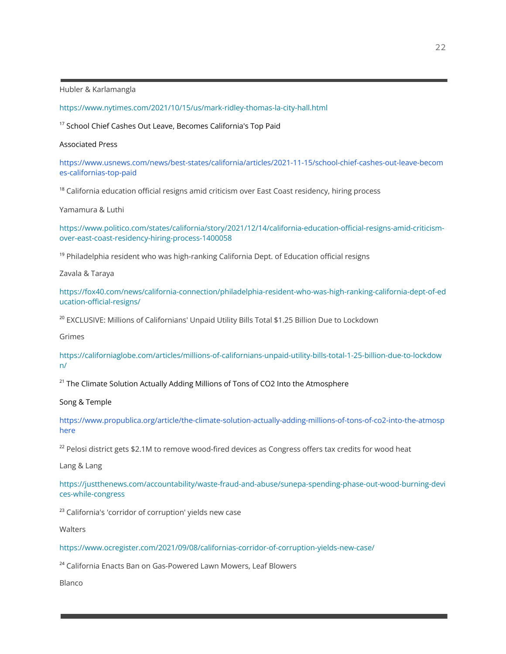Hubler & Karlamangla

<https://www.nytimes.com/2021/10/15/us/mark-ridley-thomas-la-city-hall.html>

<sup>17</sup> School Chief Cashes Out Leave, Becomes California's Top Paid

#### Associated Press

[https://www.usnews.com/news/best-states/california/articles/2021-11-15/school-chief-cashes-out-leave-becom](https://www.usnews.com/news/best-states/california/articles/2021-11-15/school-chief-cashes-out-leave-becomes-californias-top-paid) [es-californias-top-paid](https://www.usnews.com/news/best-states/california/articles/2021-11-15/school-chief-cashes-out-leave-becomes-californias-top-paid)

 $18$  California education official resigns amid criticism over East Coast residency, hiring process

Yamamura & Luthi

[https://www.politico.com/states/california/story/2021/12/14/california-education-official-resigns-amid-criticism](https://www.politico.com/states/california/story/2021/12/14/california-education-official-resigns-amid-criticism-over-east-coast-residency-hiring-process-1400058)[over-east-coast-residency-hiring-process-1400058](https://www.politico.com/states/california/story/2021/12/14/california-education-official-resigns-amid-criticism-over-east-coast-residency-hiring-process-1400058)

<sup>19</sup> Philadelphia resident who was high-ranking California Dept. of Education official resigns

Zavala & Taraya

[https://fox40.com/news/california-connection/philadelphia-resident-who-was-high-ranking-california-dept-of-ed](https://fox40.com/news/california-connection/philadelphia-resident-who-was-high-ranking-california-dept-of-education-official-resigns/) [ucation-official-resigns/](https://fox40.com/news/california-connection/philadelphia-resident-who-was-high-ranking-california-dept-of-education-official-resigns/)

<sup>20</sup> EXCLUSIVE: Millions of Californians' Unpaid Utility Bills Total \$1.25 Billion Due to Lockdown

Grimes

[https://californiaglobe.com/articles/millions-of-californians-unpaid-utility-bills-total-1-25-billion-due-to-lockdow](https://californiaglobe.com/articles/millions-of-californians-unpaid-utility-bills-total-1-25-billion-due-to-lockdown/) [n/](https://californiaglobe.com/articles/millions-of-californians-unpaid-utility-bills-total-1-25-billion-due-to-lockdown/)

 $21$  The Climate Solution Actually Adding Millions of Tons of CO2 Into the Atmosphere

Song & Temple

[https://www.propublica.org/article/the-climate-solution-actually-adding-millions-of-tons-of-co2-into-the-atmosp](https://www.propublica.org/article/the-climate-solution-actually-adding-millions-of-tons-of-co2-into-the-atmosphere) [here](https://www.propublica.org/article/the-climate-solution-actually-adding-millions-of-tons-of-co2-into-the-atmosphere)

<sup>22</sup> Pelosi district gets \$2.1M to remove wood-fired devices as Congress offers tax credits for wood heat

Lang & Lang

[https://justthenews.com/accountability/waste-fraud-and-abuse/sunepa-spending-phase-out-wood-burning-devi](https://justthenews.com/accountability/waste-fraud-and-abuse/sunepa-spending-phase-out-wood-burning-devices-while-congress) [ces-while-congress](https://justthenews.com/accountability/waste-fraud-and-abuse/sunepa-spending-phase-out-wood-burning-devices-while-congress)

<sup>23</sup> California's 'corridor of corruption' yields new case

**Walters** 

<https://www.ocregister.com/2021/09/08/californias-corridor-of-corruption-yields-new-case/>

<sup>24</sup> California Enacts Ban on Gas-Powered Lawn Mowers, Leaf Blowers

Blanco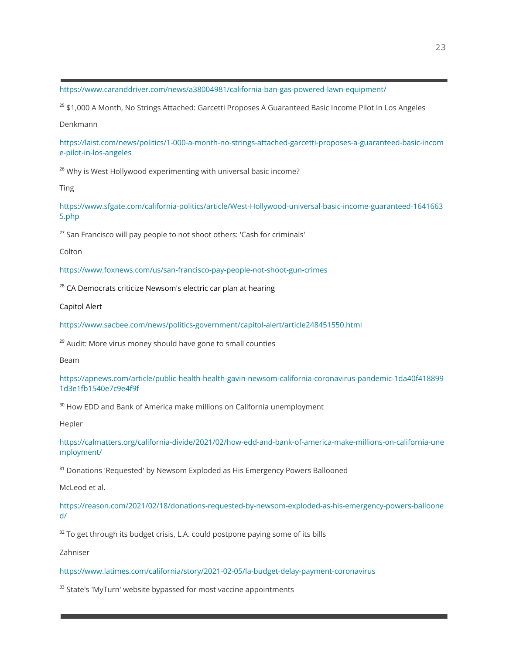<https://www.caranddriver.com/news/a38004981/california-ban-gas-powered-lawn-equipment/>

<sup>25</sup> \$1,000 A Month, No Strings Attached: Garcetti Proposes A Guaranteed Basic Income Pilot In Los Angeles

Denkmann

[https://laist.com/news/politics/1-000-a-month-no-strings-attached-garcetti-proposes-a-guaranteed-basic-incom](https://laist.com/news/politics/1-000-a-month-no-strings-attached-garcetti-proposes-a-guaranteed-basic-income-pilot-in-los-angeles) [e-pilot-in-los-angeles](https://laist.com/news/politics/1-000-a-month-no-strings-attached-garcetti-proposes-a-guaranteed-basic-income-pilot-in-los-angeles)

<sup>26</sup> Why is West Hollywood experimenting with universal basic income?

Ting

[https://www.sfgate.com/california-politics/article/West-Hollywood-universal-basic-income-guaranteed-1641663](https://www.sfgate.com/california-politics/article/West-Hollywood-universal-basic-income-guaranteed-16416635.php) [5.php](https://www.sfgate.com/california-politics/article/West-Hollywood-universal-basic-income-guaranteed-16416635.php)

<sup>27</sup> San Francisco will pay people to not shoot others: 'Cash for criminals'

Colton

<https://www.foxnews.com/us/san-francisco-pay-people-not-shoot-gun-crimes>

 $28$  CA Democrats criticize Newsom's electric car plan at hearing

Capitol Alert

<https://www.sacbee.com/news/politics-government/capitol-alert/article248451550.html>

<sup>29</sup> Audit: More virus money should have gone to small counties

Beam

[https://apnews.com/article/public-health-health-gavin-newsom-california-coronavirus-pandemic-1da40f418899](https://apnews.com/article/public-health-health-gavin-newsom-california-coronavirus-pandemic-1da40f4188991d3e1fb1540e7c9e4f9f) [1d3e1fb1540e7c9e4f9f](https://apnews.com/article/public-health-health-gavin-newsom-california-coronavirus-pandemic-1da40f4188991d3e1fb1540e7c9e4f9f)

<sup>30</sup> How EDD and Bank of America make millions on California unemployment

Hepler

[https://calmatters.org/california-divide/2021/02/how-edd-and-bank-of-america-make-millions-on-california-une](https://calmatters.org/california-divide/2021/02/how-edd-and-bank-of-america-make-millions-on-california-unemployment/) [mployment/](https://calmatters.org/california-divide/2021/02/how-edd-and-bank-of-america-make-millions-on-california-unemployment/)

<sup>31</sup> Donations 'Requested' by Newsom Exploded as His Emergency Powers Ballooned

McLeod et al.

[https://reason.com/2021/02/18/donations-requested-by-newsom-exploded-as-his-emergency-powers-balloone](https://reason.com/2021/02/18/donations-requested-by-newsom-exploded-as-his-emergency-powers-ballooned/) [d/](https://reason.com/2021/02/18/donations-requested-by-newsom-exploded-as-his-emergency-powers-ballooned/)

 $32$  To get through its budget crisis, L.A. could postpone paying some of its bills

Zahniser

<https://www.latimes.com/california/story/2021-02-05/la-budget-delay-payment-coronavirus>

<sup>33</sup> State's 'MyTurn' website bypassed for most vaccine appointments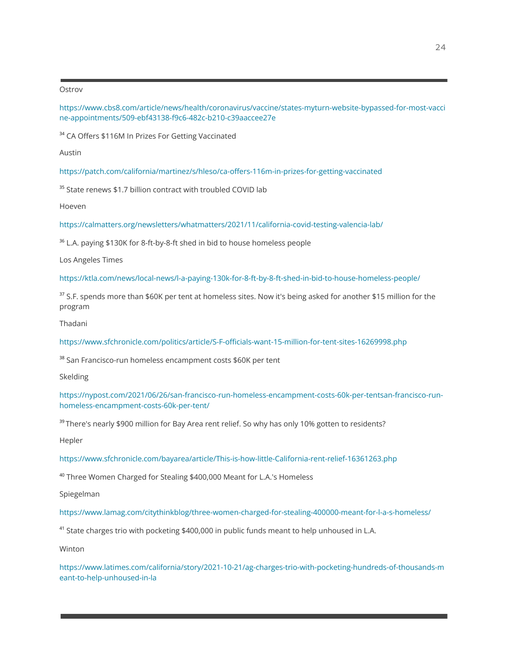#### **Ostrov**

[https://www.cbs8.com/article/news/health/coronavirus/vaccine/states-myturn-website-bypassed-for-most-vacci](https://www.cbs8.com/article/news/health/coronavirus/vaccine/states-myturn-website-bypassed-for-most-vaccine-appointments/509-ebf43138-f9c6-482c-b210-c39aaccee27e) [ne-appointments/509-ebf43138-f9c6-482c-b210-c39aaccee27e](https://www.cbs8.com/article/news/health/coronavirus/vaccine/states-myturn-website-bypassed-for-most-vaccine-appointments/509-ebf43138-f9c6-482c-b210-c39aaccee27e)

<sup>34</sup> CA Offers \$116M In Prizes For Getting Vaccinated

Austin

<https://patch.com/california/martinez/s/hleso/ca-offers-116m-in-prizes-for-getting-vaccinated>

<sup>35</sup> State renews \$1.7 billion contract with troubled COVID lab

Hoeven

<https://calmatters.org/newsletters/whatmatters/2021/11/california-covid-testing-valencia-lab/>

<sup>36</sup> L.A. paying \$130K for 8-ft-by-8-ft shed in bid to house homeless people

Los Angeles Times

<https://ktla.com/news/local-news/l-a-paying-130k-for-8-ft-by-8-ft-shed-in-bid-to-house-homeless-people/>

<sup>37</sup> S.F. spends more than \$60K per tent at homeless sites. Now it's being asked for another \$15 million for the program

Thadani

<https://www.sfchronicle.com/politics/article/S-F-officials-want-15-million-for-tent-sites-16269998.php>

<sup>38</sup> San Francisco-run homeless encampment costs \$60K per tent

Skelding

[https://nypost.com/2021/06/26/san-francisco-run-homeless-encampment-costs-60k-per-tentsan-francisco-run](https://nypost.com/2021/06/26/san-francisco-run-homeless-encampment-costs-60k-per-tentsan-francisco-run-homeless-encampment-costs-60k-per-tent/)[homeless-encampment-costs-60k-per-tent/](https://nypost.com/2021/06/26/san-francisco-run-homeless-encampment-costs-60k-per-tentsan-francisco-run-homeless-encampment-costs-60k-per-tent/)

<sup>39</sup> There's nearly \$900 million for Bay Area rent relief. So why has only 10% gotten to residents?

Hepler

<https://www.sfchronicle.com/bayarea/article/This-is-how-little-California-rent-relief-16361263.php>

<sup>40</sup> Three Women Charged for Stealing \$400,000 Meant for L.A.'s Homeless

Spiegelman

<https://www.lamag.com/citythinkblog/three-women-charged-for-stealing-400000-meant-for-l-a-s-homeless/>

<sup>41</sup> State charges trio with pocketing  $$400,000$  in public funds meant to help unhoused in L.A.

Winton

[https://www.latimes.com/california/story/2021-10-21/ag-charges-trio-with-pocketing-hundreds-of-thousands-m](https://www.latimes.com/california/story/2021-10-21/ag-charges-trio-with-pocketing-hundreds-of-thousands-meant-to-help-unhoused-in-la) [eant-to-help-unhoused-in-la](https://www.latimes.com/california/story/2021-10-21/ag-charges-trio-with-pocketing-hundreds-of-thousands-meant-to-help-unhoused-in-la)